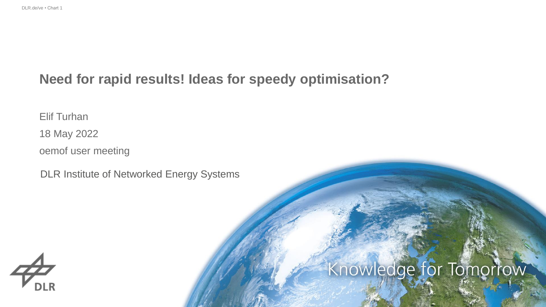### **Need for rapid results! Ideas for speedy optimisation?**

Elif Turhan

18 May 2022

oemof user meeting

DLR Institute of Networked Energy Systems



# Knowledge for Tomorrow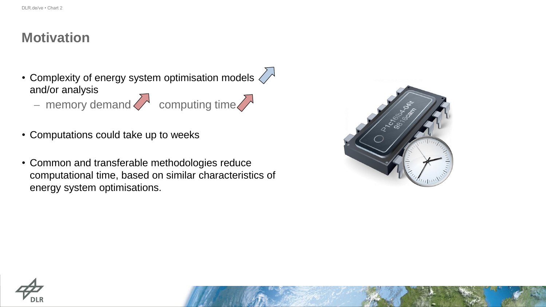### **Motivation**

- Complexity of energy system optimisation models  $\ll \sim$ and/or analysis − memory demand computing time
	-
- Computations could take up to weeks
- Common and transferable methodologies reduce computational time, based on similar characteristics of energy system optimisations.





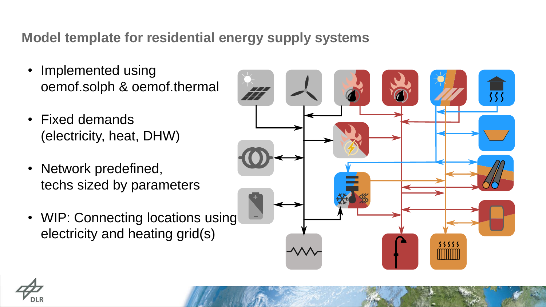## **Model template for residential energy supply systems**

- Implemented using oemof.solph & oemof.thermal
- Fixed demands (electricity, heat, DHW)
- Network predefined, techs sized by parameters
- WIP: Connecting locations using electricity and heating grid(s)



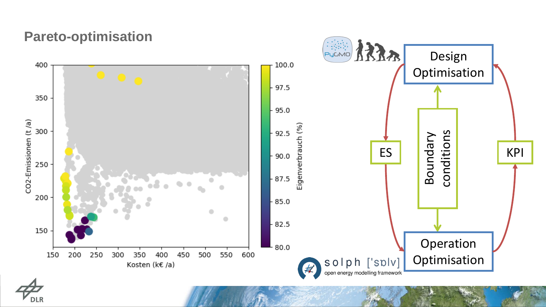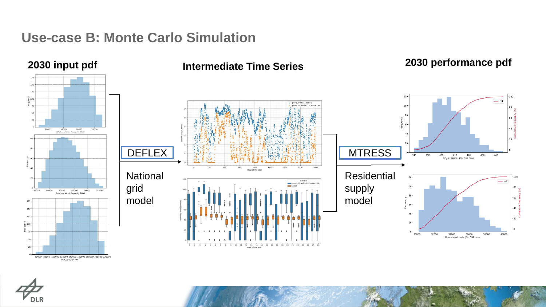#### **Use-case B: Monte Carlo Simulation**



60000 80000 100000 120000 140000 160000 180000 200000 220000 PV Capacity(MW)

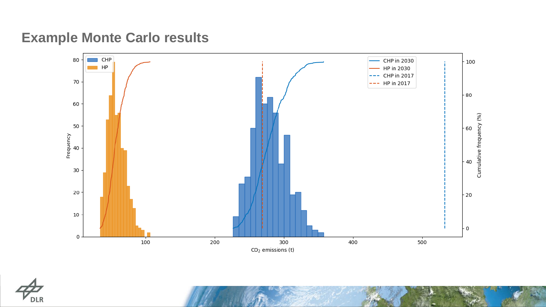# **Example Monte Carlo results**



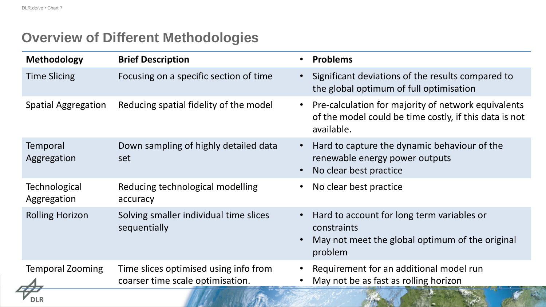# **Overview of Different Methodologies**

| <b>Methodology</b>                  | <b>Brief Description</b>                                                  | <b>Problems</b>                                                                                                             |
|-------------------------------------|---------------------------------------------------------------------------|-----------------------------------------------------------------------------------------------------------------------------|
| <b>Time Slicing</b>                 | Focusing on a specific section of time                                    | Significant deviations of the results compared to<br>the global optimum of full optimisation                                |
| <b>Spatial Aggregation</b>          | Reducing spatial fidelity of the model                                    | Pre-calculation for majority of network equivalents<br>of the model could be time costly, if this data is not<br>available. |
| Temporal<br>Aggregation             | Down sampling of highly detailed data<br>set                              | Hard to capture the dynamic behaviour of the<br>renewable energy power outputs<br>No clear best practice                    |
| <b>Technological</b><br>Aggregation | Reducing technological modelling<br>accuracy                              | No clear best practice                                                                                                      |
| <b>Rolling Horizon</b>              | Solving smaller individual time slices<br>sequentially                    | Hard to account for long term variables or<br>constraints<br>May not meet the global optimum of the original<br>problem     |
| <b>Temporal Zooming</b>             | Time slices optimised using info from<br>coarser time scale optimisation. | Requirement for an additional model run<br>May not be as fast as rolling horizon                                            |
|                                     |                                                                           |                                                                                                                             |

**STATISTICS**